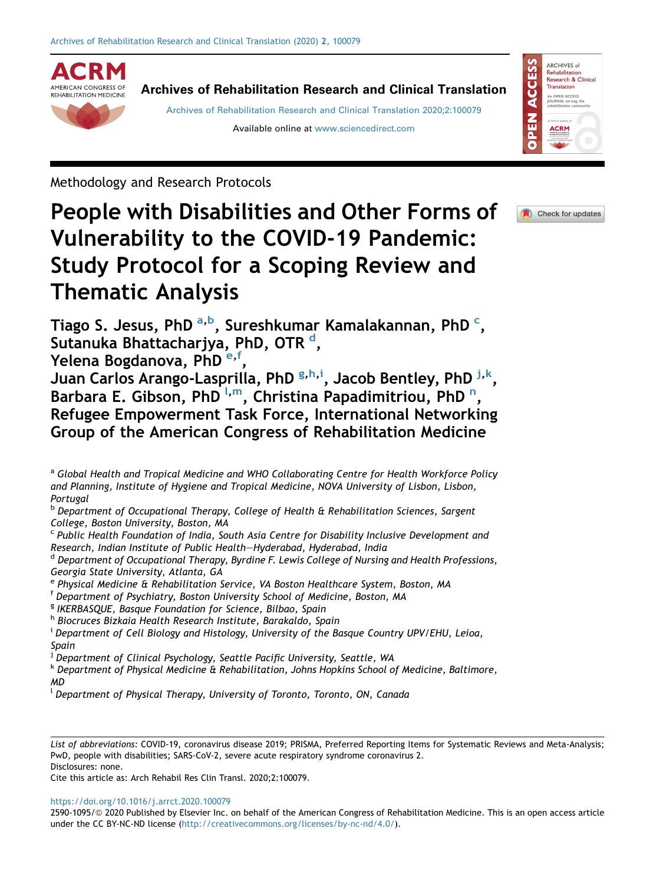

Archives of Rehabilitation Research and Clinical Translation

[Archives of Rehabilitation Research and Clinical Translation 2020;2:100079](https://doi.org/10.1016/j.arrct.2020.100079) Available online at [www.sciencedirect.com](https://www.sciencedirect.com/journal/archives-of-rehabilitation-research-and-clinical-translation)

Methodology and Research Protocols

# People with Disabilities and Other Forms of Vulnerability to the COVID-19 Pandemic: Study Protocol for a Scoping Review and Thematic Analysis

Ti[a](#page-0-0)go S. Jesus, PhD <sup>a,[b](#page-0-1)</sup>, Sureshkumar Kamalakannan, PhD <sup>[c](#page-0-2)</sup>, Sutanuka Bhattacharjya, PhD, OTR [d](#page-0-3),

Yelena Bogdanova, PhD<sup>'[e,](#page-0-4)[f](#page-0-5)</sup>,

Juan Carlos Arango-Lasprilla, PhD <sup>[g,](#page-0-6)[h,](#page-0-7)[i](#page-0-8)</sup>, Jacob Bentley, PhD <sup>[j](#page-0-9)[,k](#page-0-10)</sup>, Barbara E. Gibson, PhD<sup>I[,m](#page-1-0)</sup>, Christi[n](#page-1-1)a Papadimitriou, PhD<sup>n</sup>, Refugee Empowerment Task Force, International Networking Group of the American Congress of Rehabilitation Medicine

<span id="page-0-0"></span><sup>a</sup> Global Health and Tropical Medicine and WHO Collaborating Centre for Health Workforce Policy and Planning, Institute of Hygiene and Tropical Medicine, NOVA University of Lisbon, Lisbon, Portugal

<span id="page-0-1"></span> $^{\rm b}$  Department of Occupational Therapy, College of Health & Rehabilitation Sciences, Sargent College, Boston University, Boston, MA

<span id="page-0-2"></span> $\epsilon$  Public Health Foundation of India, South Asia Centre for Disability Inclusive Development and

<span id="page-0-3"></span>Research, Indian Institute of Public Health—Hyderabad, Hyderabad, India<br><sup>d</sup> Department of Occupational Therapy, Byrdine F. Lewis College of Nursing and Health Professions, Georgia State University, Atlanta, GA

<span id="page-0-4"></span><sup>e</sup> Physical Medicine & Rehabilitation Service, VA Boston Healthcare System, Boston, MA

<span id="page-0-5"></span><sup>f</sup> Department of Psychiatry, Boston University School of Medicine, Boston, MA

<span id="page-0-6"></span><sup>g</sup> IKERBASQUE, Basque Foundation for Science, Bilbao, Spain

<span id="page-0-7"></span>h Biocruces Bizkaia Health Research Institute, Barakaldo, Spain

<span id="page-0-8"></span><sup>i</sup> Department of Cell Biology and Histology, University of the Basque Country UPV/EHU, Leioa, Spain

<span id="page-0-9"></span><sup>j</sup> Department of Clinical Psychology, Seattle Pacific University, Seattle, WA

<span id="page-0-10"></span> $^{\text{\tiny{k}}}$  Department of Physical Medicine & Rehabilitation, Johns Hopkins School of Medicine, Baltimore, MD

Disclosures: none.

Cite this article as: Arch Rehabil Res Clin Transl. 2020;2:100079.

<https://doi.org/10.1016/j.arrct.2020.100079>

2590-1095/@ 2020 Published by Elsevier Inc. on behalf of the American Congress of Rehabilitation Medicine. This is an open access article under the CC BY-NC-ND license ([http://creativecommons.org/licenses/by-nc-nd/4.0/\)](http://creativecommons.org/licenses/by-nc-nd/4.0/).



ARCHIVES of



<span id="page-0-11"></span><sup>&</sup>lt;sup>l</sup> Department of Physical Therapy, University of Toronto, Toronto, ON, Canada

List of abbreviations: COVID-19, coronavirus disease 2019; PRISMA, Preferred Reporting Items for Systematic Reviews and Meta-Analysis; PwD, people with disabilities; SARS-CoV-2, severe acute respiratory syndrome coronavirus 2.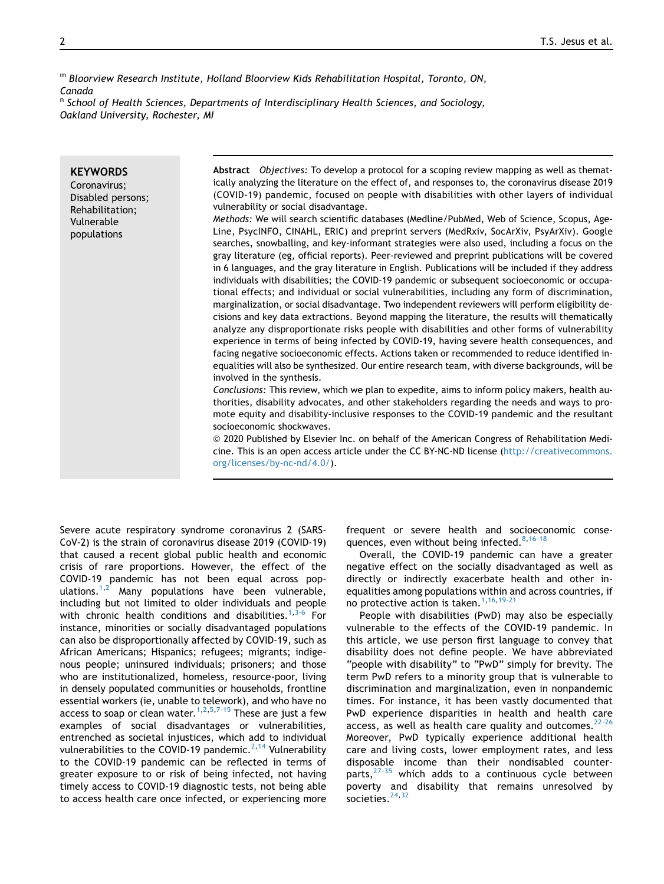<span id="page-1-0"></span><sup>m</sup> Bloorview Research Institute, Holland Bloorview Kids Rehabilitation Hospital, Toronto, ON, Canada

<span id="page-1-1"></span><sup>n</sup> School of Health Sciences, Departments of Interdisciplinary Health Sciences, and Sociology, Oakland University, Rochester, MI

| Abstract Objectives: To develop a protocol for a scoping review mapping as well as themat-<br><b>KEYWORDS</b><br>ically analyzing the literature on the effect of, and responses to, the coronavirus disease 2019<br>Coronavirus;<br>(COVID-19) pandemic, focused on people with disabilities with other layers of individual<br>Disabled persons;<br>vulnerability or social disadvantage.<br>Rehabilitation;<br>Methods: We will search scientific databases (Medline/PubMed, Web of Science, Scopus, Age-<br>Vulnerable<br>Line, PsycINFO, CINAHL, ERIC) and preprint servers (MedRxiv, SocArXiv, PsyArXiv). Google<br>populations<br>searches, snowballing, and key-informant strategies were also used, including a focus on the<br>gray literature (eg, official reports). Peer-reviewed and preprint publications will be covered<br>in 6 languages, and the gray literature in English. Publications will be included if they address<br>individuals with disabilities; the COVID-19 pandemic or subsequent socioeconomic or occupa-<br>tional effects; and individual or social vulnerabilities, including any form of discrimination,<br>marginalization, or social disadvantage. Two independent reviewers will perform eligibility de- |
|----------------------------------------------------------------------------------------------------------------------------------------------------------------------------------------------------------------------------------------------------------------------------------------------------------------------------------------------------------------------------------------------------------------------------------------------------------------------------------------------------------------------------------------------------------------------------------------------------------------------------------------------------------------------------------------------------------------------------------------------------------------------------------------------------------------------------------------------------------------------------------------------------------------------------------------------------------------------------------------------------------------------------------------------------------------------------------------------------------------------------------------------------------------------------------------------------------------------------------------------------|
| cisions and key data extractions. Beyond mapping the literature, the results will thematically<br>analyze any disproportionate risks people with disabilities and other forms of vulnerability<br>experience in terms of being infected by COVID-19, having severe health consequences, and<br>facing negative socioeconomic effects. Actions taken or recommended to reduce identified in-<br>equalities will also be synthesized. Our entire research team, with diverse backgrounds, will be<br>involved in the synthesis.<br>Conclusions: This review, which we plan to expedite, aims to inform policy makers, health au-<br>thorities, disability advocates, and other stakeholders regarding the needs and ways to pro-<br>mote equity and disability-inclusive responses to the COVID-19 pandemic and the resultant<br>socioeconomic shockwaves.<br>© 2020 Published by Elsevier Inc. on behalf of the American Congress of Rehabilitation Medi-<br>cine. This is an open access article under the CC BY-NC-ND license (http://creativecommons.<br>org/licenses/by-nc-nd/4.0/).                                                                                                                                                            |

Severe acute respiratory syndrome coronavirus 2 (SARS-CoV-2) is the strain of coronavirus disease 2019 (COVID-19) that caused a recent global public health and economic crisis of rare proportions. However, the effect of the COVID-19 pandemic has not been equal across populations. $1,2$  $1,2$  $1,2$  Many populations have been vulnerable, including but not limited to older individuals and people with chronic health conditions and disabilities.<sup>[1](#page-7-0),[3-6](#page-7-2)</sup> For instance, minorities or socially disadvantaged populations can also be disproportionally affected by COVID-19, such as African Americans; Hispanics; refugees; migrants; indigenous people; uninsured individuals; prisoners; and those who are institutionalized, homeless, resource-poor, living in densely populated communities or households, frontline essential workers (ie, unable to telework), and who have no access to soap or clean water.<sup>[1,](#page-7-0)[2](#page-7-1)[,5,](#page-7-3)[7-15](#page-7-4)</sup> These are just a few examples of social disadvantages or vulnerabilities, entrenched as societal injustices, which add to individual vulnerabilities to the COVID-19 pandemic.<sup>2[,14](#page-7-5)</sup> Vulnerability to the COVID-19 pandemic can be reflected in terms of greater exposure to or risk of being infected, not having timely access to COVID-19 diagnostic tests, not being able to access health care once infected, or experiencing more frequent or severe health and socioeconomic consequences, even without being infected.  $8,16-18$  $8,16-18$ 

Overall, the COVID-19 pandemic can have a greater negative effect on the socially disadvantaged as well as directly or indirectly exacerbate health and other inequalities among populations within and across countries, if no protective action is taken.<sup>[1](#page-7-0),[16,](#page-7-7)[19-21](#page-7-8)</sup>

People with disabilities (PwD) may also be especially vulnerable to the effects of the COVID-19 pandemic. In this article, we use person first language to convey that disability does not define people. We have abbreviated "people with disability" to "PwD" simply for brevity. The term PwD refers to a minority group that is vulnerable to discrimination and marginalization, even in nonpandemic times. For instance, it has been vastly documented that PwD experience disparities in health and health care access, as well as health care quality and outcomes.  $22-26$ Moreover, PwD typically experience additional health care and living costs, lower employment rates, and less disposable income than their nondisabled counter-parts,<sup>[27-35](#page-8-1)</sup> which adds to a continuous cycle between poverty and disability that remains unresolved by societies.<sup>[24](#page-8-2),[32](#page-8-3)</sup>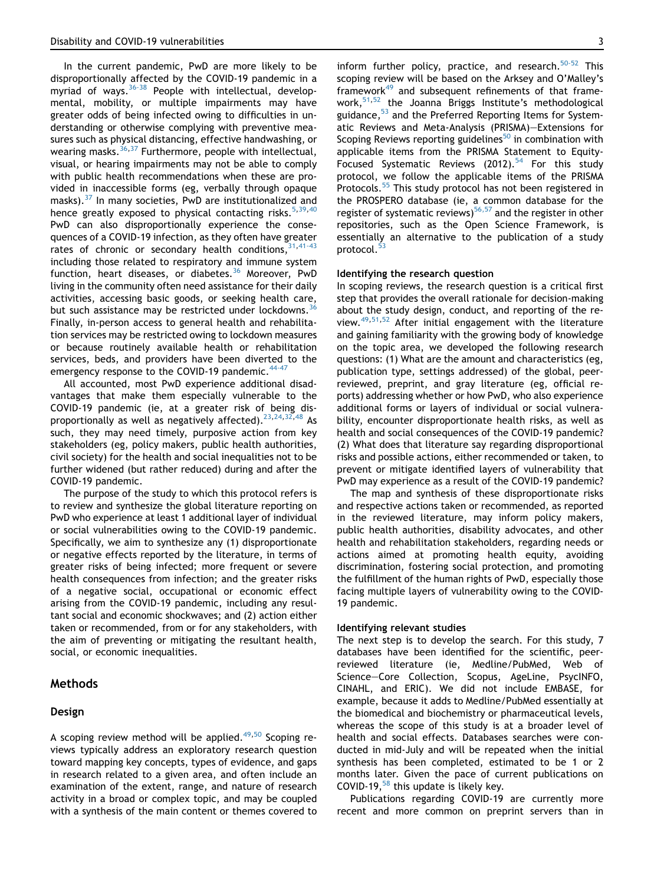In the current pandemic, PwD are more likely to be disproportionally affected by the COVID-19 pandemic in a myriad of ways.<sup>[36-38](#page-8-4)</sup> People with intellectual, developmental, mobility, or multiple impairments may have greater odds of being infected owing to difficulties in understanding or otherwise complying with preventive measures such as physical distancing, effective handwashing, or wearing masks.  $36,37$  $36,37$  $36,37$  Furthermore, people with intellectual, visual, or hearing impairments may not be able to comply with public health recommendations when these are provided in inaccessible forms (eg, verbally through opaque masks).[37](#page-8-5) In many societies, PwD are institutionalized and hence greatly exposed to physical contacting risks.  $5,39,40$  $5,39,40$  $5,39,40$  $5,39,40$ PwD can also disproportionally experience the consequences of a COVID-19 infection, as they often have greater rates of chronic or secondary health conditions,  $31,41-43$  $31,41-43$  $31,41-43$ including those related to respiratory and immune system function, heart diseases, or diabetes.<sup>[36](#page-8-4)</sup> Moreover, PwD living in the community often need assistance for their daily activities, accessing basic goods, or seeking health care, but such assistance may be restricted under lockdowns.<sup>[36](#page-8-4)</sup> Finally, in-person access to general health and rehabilitation services may be restricted owing to lockdown measures or because routinely available health or rehabilitation services, beds, and providers have been diverted to the emergency response to the COVID-19 pandemic.<sup>[44-47](#page-8-10)</sup>

All accounted, most PwD experience additional disadvantages that make them especially vulnerable to the COVID-19 pandemic (ie, at a greater risk of being disproportionally as well as negatively affected).  $23,24,32,48$  $23,24,32,48$  $23,24,32,48$  $23,24,32,48$  $23,24,32,48$  $23,24,32,48$  As such, they may need timely, purposive action from key stakeholders (eg, policy makers, public health authorities, civil society) for the health and social inequalities not to be further widened (but rather reduced) during and after the COVID-19 pandemic.

The purpose of the study to which this protocol refers is to review and synthesize the global literature reporting on PwD who experience at least 1 additional layer of individual or social vulnerabilities owing to the COVID-19 pandemic. Specifically, we aim to synthesize any (1) disproportionate or negative effects reported by the literature, in terms of greater risks of being infected; more frequent or severe health consequences from infection; and the greater risks of a negative social, occupational or economic effect arising from the COVID-19 pandemic, including any resultant social and economic shockwaves; and (2) action either taken or recommended, from or for any stakeholders, with the aim of preventing or mitigating the resultant health, social, or economic inequalities.

# Methods

#### Design

A scoping review method will be applied. $49,50$  $49,50$  $49,50$  Scoping reviews typically address an exploratory research question toward mapping key concepts, types of evidence, and gaps in research related to a given area, and often include an examination of the extent, range, and nature of research activity in a broad or complex topic, and may be coupled with a synthesis of the main content or themes covered to inform further policy, practice, and research. $50-52$  This scoping review will be based on the Arksey and O'Malley's framework $49$  and subsequent refinements of that framework[,51](#page-8-15),[52](#page-8-16) the Joanna Briggs Institute's methodological guidance,  $53$  and the Preferred Reporting Items for Systematic Reviews and Meta-Analysis (PRISMA)-Extensions for Scoping Reviews reporting guidelines<sup>[50](#page-8-14)</sup> in combination with applicable items from the PRISMA Statement to Equity-Focused Systematic Reviews (2012).<sup>[54](#page-8-18)</sup> For this study protocol, we follow the applicable items of the PRISMA Protocols.<sup>[55](#page-8-19)</sup> This study protocol has not been registered in the PROSPERO database (ie, a common database for the register of systematic reviews) $56,57$  and the register in other repositories, such as the Open Science Framework, is essentially an alternative to the publication of a study protocol.<sup>5</sup>

## Identifying the research question

In scoping reviews, the research question is a critical first step that provides the overall rationale for decision-making about the study design, conduct, and reporting of the review.[49](#page-8-13)[,51](#page-8-15),[52](#page-8-16) After initial engagement with the literature and gaining familiarity with the growing body of knowledge on the topic area, we developed the following research questions: (1) What are the amount and characteristics (eg, publication type, settings addressed) of the global, peerreviewed, preprint, and gray literature (eg, official reports) addressing whether or how PwD, who also experience additional forms or layers of individual or social vulnerability, encounter disproportionate health risks, as well as health and social consequences of the COVID-19 pandemic? (2) What does that literature say regarding disproportional risks and possible actions, either recommended or taken, to prevent or mitigate identified layers of vulnerability that PwD may experience as a result of the COVID-19 pandemic?

The map and synthesis of these disproportionate risks and respective actions taken or recommended, as reported in the reviewed literature, may inform policy makers, public health authorities, disability advocates, and other health and rehabilitation stakeholders, regarding needs or actions aimed at promoting health equity, avoiding discrimination, fostering social protection, and promoting the fulfillment of the human rights of PwD, especially those facing multiple layers of vulnerability owing to the COVID-19 pandemic.

#### Identifying relevant studies

The next step is to develop the search. For this study, 7 databases have been identified for the scientific, peerreviewed literature (ie, Medline/PubMed, Web of Science-Core Collection, Scopus, AgeLine, PsycINFO, CINAHL, and ERIC). We did not include EMBASE, for example, because it adds to Medline/PubMed essentially at the biomedical and biochemistry or pharmaceutical levels, whereas the scope of this study is at a broader level of health and social effects. Databases searches were conducted in mid-July and will be repeated when the initial synthesis has been completed, estimated to be 1 or 2 months later. Given the pace of current publications on COVID-19, $^{58}$  $^{58}$  $^{58}$  this update is likely key.

Publications regarding COVID-19 are currently more recent and more common on preprint servers than in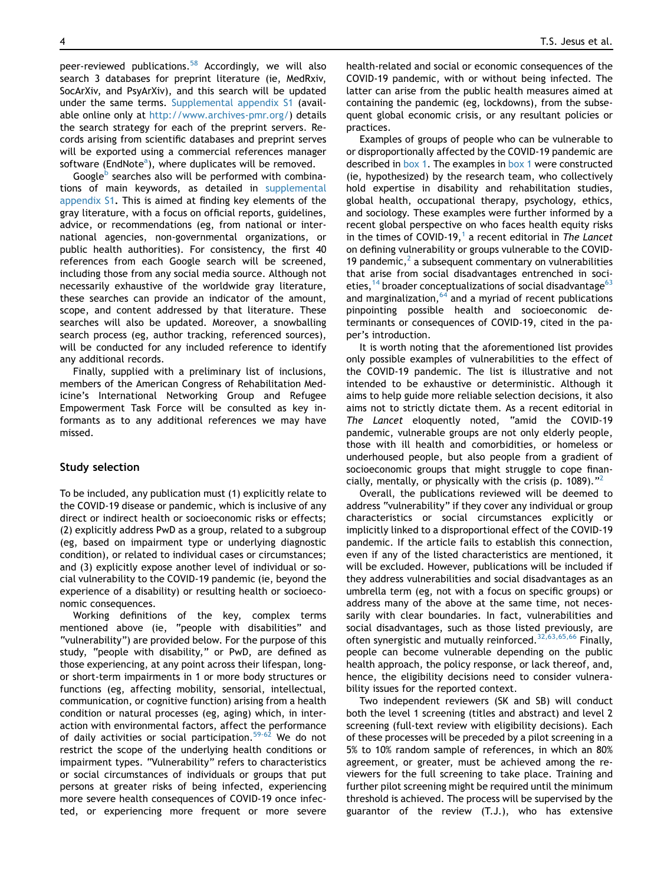peer-reviewed publications.<sup>[58](#page-8-21)</sup> Accordingly, we will also search 3 databases for preprint literature (ie, MedRxiv, SocArXiv, and PsyArXiv), and this search will be updated under the same terms. Supplemental appendix S1 (available online only at <http://www.archives-pmr.org/>) details the search strategy for each of the preprint servers. Records arising from scientific databases and preprint serves will be exported using a commercial references manager software (EndNote<sup>a</sup>), where duplicates will be removed.

Google<sup>b</sup> searches also will be performed with combinations of main keywords, as detailed in supplemental appendix S1. This is aimed at finding key elements of the gray literature, with a focus on official reports, guidelines, advice, or recommendations (eg, from national or international agencies, non-governmental organizations, or public health authorities). For consistency, the first 40 references from each Google search will be screened, including those from any social media source. Although not necessarily exhaustive of the worldwide gray literature, these searches can provide an indicator of the amount, scope, and content addressed by that literature. These searches will also be updated. Moreover, a snowballing search process (eg, author tracking, referenced sources), will be conducted for any included reference to identify any additional records.

Finally, supplied with a preliminary list of inclusions, members of the American Congress of Rehabilitation Medicine's International Networking Group and Refugee Empowerment Task Force will be consulted as key informants as to any additional references we may have missed.

## Study selection

To be included, any publication must (1) explicitly relate to the COVID-19 disease or pandemic, which is inclusive of any direct or indirect health or socioeconomic risks or effects; (2) explicitly address PwD as a group, related to a subgroup (eg, based on impairment type or underlying diagnostic condition), or related to individual cases or circumstances; and (3) explicitly expose another level of individual or social vulnerability to the COVID-19 pandemic (ie, beyond the experience of a disability) or resulting health or socioeconomic consequences.

Working definitions of the key, complex terms mentioned above (ie, "people with disabilities" and "vulnerability") are provided below. For the purpose of this study, "people with disability," or PwD, are defined as those experiencing, at any point across their lifespan, longor short-term impairments in 1 or more body structures or functions (eg, affecting mobility, sensorial, intellectual, communication, or cognitive function) arising from a health condition or natural processes (eg, aging) which, in interaction with environmental factors, affect the performance of daily activities or social participation.<sup>[59-62](#page-8-22)</sup> We do not restrict the scope of the underlying health conditions or impairment types. "Vulnerability" refers to characteristics or social circumstances of individuals or groups that put persons at greater risks of being infected, experiencing more severe health consequences of COVID-19 once infected, or experiencing more frequent or more severe health-related and social or economic consequences of the COVID-19 pandemic, with or without being infected. The latter can arise from the public health measures aimed at containing the pandemic (eg, lockdowns), from the subsequent global economic crisis, or any resultant policies or practices.

Examples of groups of people who can be vulnerable to or disproportionally affected by the COVID-19 pandemic are described in box 1. The examples in box 1 were constructed (ie, hypothesized) by the research team, who collectively hold expertise in disability and rehabilitation studies, global health, occupational therapy, psychology, ethics, and sociology. These examples were further informed by a recent global perspective on who faces health equity risks in the times of COVID-[1](#page-7-0)9,<sup>1</sup> a recent editorial in The Lancet on defining vulnerability or groups vulnerable to the COVID-19 pandemic, $^2$  $^2$  a subsequent commentary on vulnerabilities that arise from social disadvantages entrenched in societies,  $14$  broader conceptualizations of social disadvantage<sup>[63](#page-9-0)</sup> and marginalization,  $64$  and a myriad of recent publications pinpointing possible health and socioeconomic determinants or consequences of COVID-19, cited in the paper's introduction.

It is worth noting that the aforementioned list provides only possible examples of vulnerabilities to the effect of the COVID-19 pandemic. The list is illustrative and not intended to be exhaustive or deterministic. Although it aims to help guide more reliable selection decisions, it also aims not to strictly dictate them. As a recent editorial in The Lancet eloquently noted, "amid the COVID-19 pandemic, vulnerable groups are not only elderly people, those with ill health and comorbidities, or homeless or underhoused people, but also people from a gradient of socioeconomic groups that might struggle to cope financially, mentally, or physically with the crisis (p. 1089). $^{2}$  $^{2}$  $^{2}$ 

Overall, the publications reviewed will be deemed to address "vulnerability" if they cover any individual or group characteristics or social circumstances explicitly or implicitly linked to a disproportional effect of the COVID-19 pandemic. If the article fails to establish this connection, even if any of the listed characteristics are mentioned, it will be excluded. However, publications will be included if they address vulnerabilities and social disadvantages as an umbrella term (eg, not with a focus on specific groups) or address many of the above at the same time, not necessarily with clear boundaries. In fact, vulnerabilities and social disadvantages, such as those listed previously, are often synergistic and mutually reinforced.<sup>[32,63,65,66](#page-8-3)</sup> Finally, people can become vulnerable depending on the public health approach, the policy response, or lack thereof, and, hence, the eligibility decisions need to consider vulnerability issues for the reported context.

Two independent reviewers (SK and SB) will conduct both the level 1 screening (titles and abstract) and level 2 screening (full-text review with eligibility decisions). Each of these processes will be preceded by a pilot screening in a 5% to 10% random sample of references, in which an 80% agreement, or greater, must be achieved among the reviewers for the full screening to take place. Training and further pilot screening might be required until the minimum threshold is achieved. The process will be supervised by the guarantor of the review (T.J.), who has extensive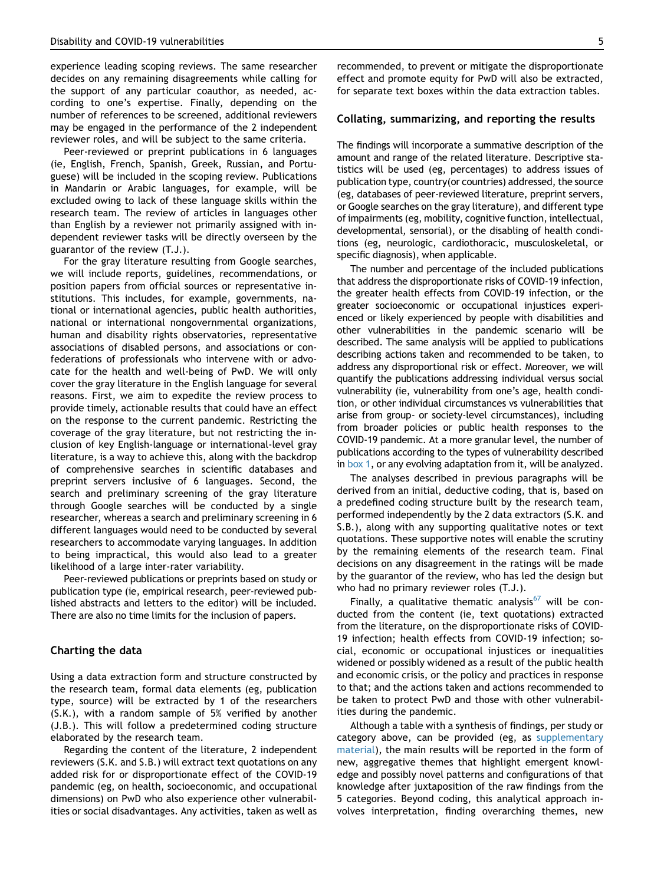experience leading scoping reviews. The same researcher decides on any remaining disagreements while calling for the support of any particular coauthor, as needed, according to one's expertise. Finally, depending on the number of references to be screened, additional reviewers may be engaged in the performance of the 2 independent reviewer roles, and will be subject to the same criteria.

Peer-reviewed or preprint publications in 6 languages (ie, English, French, Spanish, Greek, Russian, and Portuguese) will be included in the scoping review. Publications in Mandarin or Arabic languages, for example, will be excluded owing to lack of these language skills within the research team. The review of articles in languages other than English by a reviewer not primarily assigned with independent reviewer tasks will be directly overseen by the guarantor of the review (T.J.).

For the gray literature resulting from Google searches, we will include reports, guidelines, recommendations, or position papers from official sources or representative institutions. This includes, for example, governments, national or international agencies, public health authorities, national or international nongovernmental organizations, human and disability rights observatories, representative associations of disabled persons, and associations or confederations of professionals who intervene with or advocate for the health and well-being of PwD. We will only cover the gray literature in the English language for several reasons. First, we aim to expedite the review process to provide timely, actionable results that could have an effect on the response to the current pandemic. Restricting the coverage of the gray literature, but not restricting the inclusion of key English-language or international-level gray literature, is a way to achieve this, along with the backdrop of comprehensive searches in scientific databases and preprint servers inclusive of 6 languages. Second, the search and preliminary screening of the gray literature through Google searches will be conducted by a single researcher, whereas a search and preliminary screening in 6 different languages would need to be conducted by several researchers to accommodate varying languages. In addition to being impractical, this would also lead to a greater likelihood of a large inter-rater variability.

Peer-reviewed publications or preprints based on study or publication type (ie, empirical research, peer-reviewed published abstracts and letters to the editor) will be included. There are also no time limits for the inclusion of papers.

## Charting the data

Using a data extraction form and structure constructed by the research team, formal data elements (eg, publication type, source) will be extracted by 1 of the researchers (S.K.), with a random sample of 5% verified by another (J.B.). This will follow a predetermined coding structure elaborated by the research team.

Regarding the content of the literature, 2 independent reviewers (S.K. and S.B.) will extract text quotations on any added risk for or disproportionate effect of the COVID-19 pandemic (eg, on health, socioeconomic, and occupational dimensions) on PwD who also experience other vulnerabilities or social disadvantages. Any activities, taken as well as recommended, to prevent or mitigate the disproportionate effect and promote equity for PwD will also be extracted, for separate text boxes within the data extraction tables.

#### Collating, summarizing, and reporting the results

The findings will incorporate a summative description of the amount and range of the related literature. Descriptive statistics will be used (eg, percentages) to address issues of publication type, country(or countries) addressed, the source (eg, databases of peer-reviewed literature, preprint servers, or Google searches on the gray literature), and different type of impairments (eg, mobility, cognitive function, intellectual, developmental, sensorial), or the disabling of health conditions (eg, neurologic, cardiothoracic, musculoskeletal, or specific diagnosis), when applicable.

The number and percentage of the included publications that address the disproportionate risks of COVID-19 infection, the greater health effects from COVID-19 infection, or the greater socioeconomic or occupational injustices experienced or likely experienced by people with disabilities and other vulnerabilities in the pandemic scenario will be described. The same analysis will be applied to publications describing actions taken and recommended to be taken, to address any disproportional risk or effect. Moreover, we will quantify the publications addressing individual versus social vulnerability (ie, vulnerability from one's age, health condition, or other individual circumstances vs vulnerabilities that arise from group- or society-level circumstances), including from broader policies or public health responses to the COVID-19 pandemic. At a more granular level, the number of publications according to the types of vulnerability described in box 1, or any evolving adaptation from it, will be analyzed.

The analyses described in previous paragraphs will be derived from an initial, deductive coding, that is, based on a predefined coding structure built by the research team, performed independently by the 2 data extractors (S.K. and S.B.), along with any supporting qualitative notes or text quotations. These supportive notes will enable the scrutiny by the remaining elements of the research team. Final decisions on any disagreement in the ratings will be made by the guarantor of the review, who has led the design but who had no primary reviewer roles (T.J.).

Finally, a qualitative thematic analysis<sup>[67](#page-9-2)</sup> will be conducted from the content (ie, text quotations) extracted from the literature, on the disproportionate risks of COVID-19 infection; health effects from COVID-19 infection; social, economic or occupational injustices or inequalities widened or possibly widened as a result of the public health and economic crisis, or the policy and practices in response to that; and the actions taken and actions recommended to be taken to protect PwD and those with other vulnerabilities during the pandemic.

Although a table with a synthesis of findings, per study or category above, can be provided (eg, as supplementary material), the main results will be reported in the form of new, aggregative themes that highlight emergent knowledge and possibly novel patterns and configurations of that knowledge after juxtaposition of the raw findings from the 5 categories. Beyond coding, this analytical approach involves interpretation, finding overarching themes, new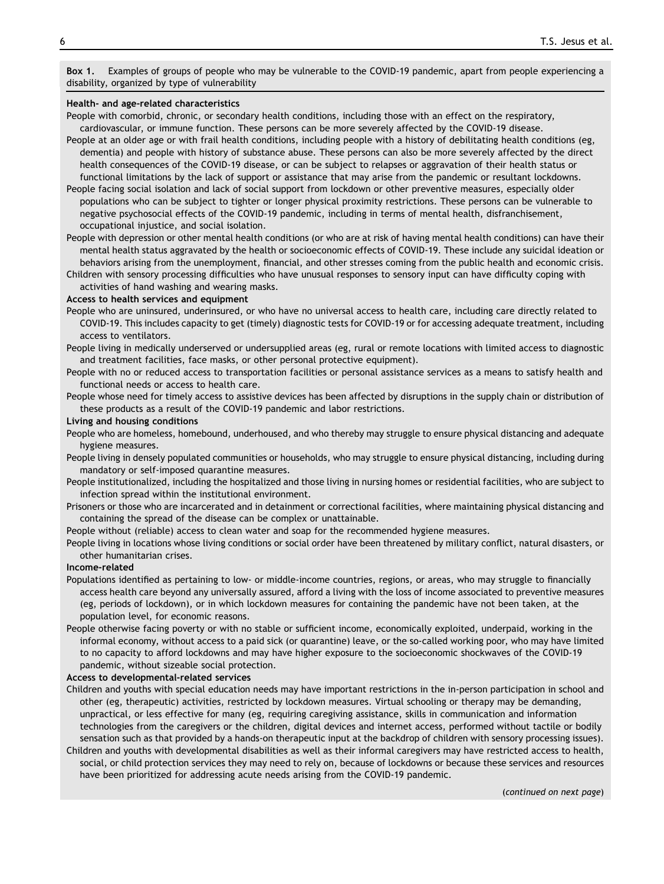Box 1. Examples of groups of people who may be vulnerable to the COVID-19 pandemic, apart from people experiencing a disability, organized by type of vulnerability

#### Health- and age-related characteristics

People with comorbid, chronic, or secondary health conditions, including those with an effect on the respiratory, cardiovascular, or immune function. These persons can be more severely affected by the COVID-19 disease.

People at an older age or with frail health conditions, including people with a history of debilitating health conditions (eg, dementia) and people with history of substance abuse. These persons can also be more severely affected by the direct health consequences of the COVID-19 disease, or can be subject to relapses or aggravation of their health status or functional limitations by the lack of support or assistance that may arise from the pandemic or resultant lockdowns.

People facing social isolation and lack of social support from lockdown or other preventive measures, especially older populations who can be subject to tighter or longer physical proximity restrictions. These persons can be vulnerable to negative psychosocial effects of the COVID-19 pandemic, including in terms of mental health, disfranchisement, occupational injustice, and social isolation.

People with depression or other mental health conditions (or who are at risk of having mental health conditions) can have their mental health status aggravated by the health or socioeconomic effects of COVID-19. These include any suicidal ideation or behaviors arising from the unemployment, financial, and other stresses coming from the public health and economic crisis.

Children with sensory processing difficulties who have unusual responses to sensory input can have difficulty coping with activities of hand washing and wearing masks.

#### Access to health services and equipment

People who are uninsured, underinsured, or who have no universal access to health care, including care directly related to COVID-19. This includes capacity to get (timely) diagnostic tests for COVID-19 or for accessing adequate treatment, including access to ventilators.

- People living in medically underserved or undersupplied areas (eg, rural or remote locations with limited access to diagnostic and treatment facilities, face masks, or other personal protective equipment).
- People with no or reduced access to transportation facilities or personal assistance services as a means to satisfy health and functional needs or access to health care.
- People whose need for timely access to assistive devices has been affected by disruptions in the supply chain or distribution of these products as a result of the COVID-19 pandemic and labor restrictions.

#### Living and housing conditions

- People who are homeless, homebound, underhoused, and who thereby may struggle to ensure physical distancing and adequate hygiene measures.
- People living in densely populated communities or households, who may struggle to ensure physical distancing, including during mandatory or self-imposed quarantine measures.
- People institutionalized, including the hospitalized and those living in nursing homes or residential facilities, who are subject to infection spread within the institutional environment.
- Prisoners or those who are incarcerated and in detainment or correctional facilities, where maintaining physical distancing and containing the spread of the disease can be complex or unattainable.
- People without (reliable) access to clean water and soap for the recommended hygiene measures.

People living in locations whose living conditions or social order have been threatened by military conflict, natural disasters, or other humanitarian crises.

## Income-related

- Populations identified as pertaining to low- or middle-income countries, regions, or areas, who may struggle to financially access health care beyond any universally assured, afford a living with the loss of income associated to preventive measures (eg, periods of lockdown), or in which lockdown measures for containing the pandemic have not been taken, at the population level, for economic reasons.
- People otherwise facing poverty or with no stable or sufficient income, economically exploited, underpaid, working in the informal economy, without access to a paid sick (or quarantine) leave, or the so-called working poor, who may have limited to no capacity to afford lockdowns and may have higher exposure to the socioeconomic shockwaves of the COVID-19 pandemic, without sizeable social protection.

#### Access to developmental-related services

- Children and youths with special education needs may have important restrictions in the in-person participation in school and other (eg, therapeutic) activities, restricted by lockdown measures. Virtual schooling or therapy may be demanding, unpractical, or less effective for many (eg, requiring caregiving assistance, skills in communication and information technologies from the caregivers or the children, digital devices and internet access, performed without tactile or bodily sensation such as that provided by a hands-on therapeutic input at the backdrop of children with sensory processing issues).
- Children and youths with developmental disabilities as well as their informal caregivers may have restricted access to health, social, or child protection services they may need to rely on, because of lockdowns or because these services and resources have been prioritized for addressing acute needs arising from the COVID-19 pandemic.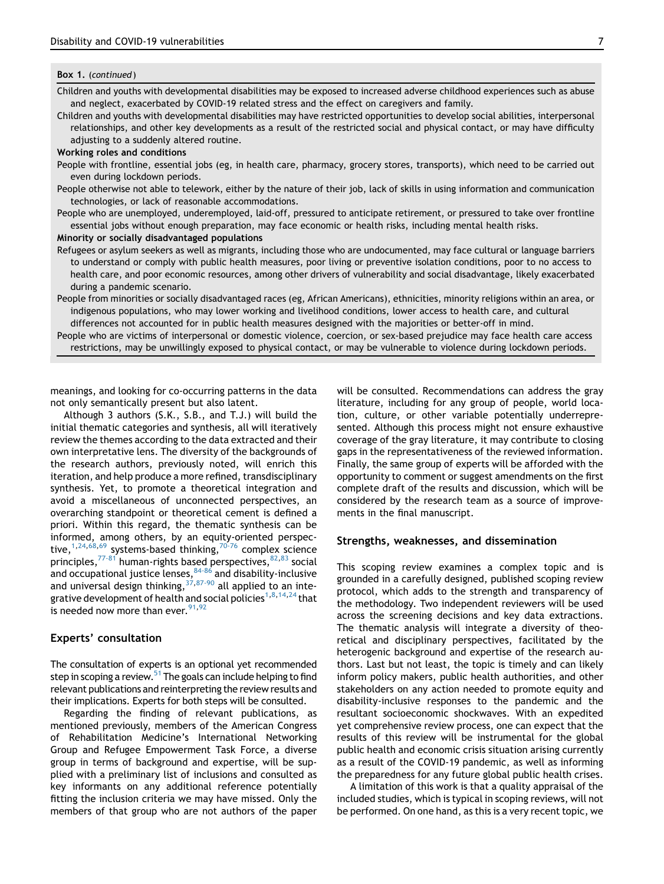#### Box 1. (continued)

Children and youths with developmental disabilities may be exposed to increased adverse childhood experiences such as abuse and neglect, exacerbated by COVID-19 related stress and the effect on caregivers and family.

Children and youths with developmental disabilities may have restricted opportunities to develop social abilities, interpersonal relationships, and other key developments as a result of the restricted social and physical contact, or may have difficulty adjusting to a suddenly altered routine.

#### Working roles and conditions

People with frontline, essential jobs (eg, in health care, pharmacy, grocery stores, transports), which need to be carried out even during lockdown periods.

People otherwise not able to telework, either by the nature of their job, lack of skills in using information and communication technologies, or lack of reasonable accommodations.

People who are unemployed, underemployed, laid-off, pressured to anticipate retirement, or pressured to take over frontline essential jobs without enough preparation, may face economic or health risks, including mental health risks.

Minority or socially disadvantaged populations

Refugees or asylum seekers as well as migrants, including those who are undocumented, may face cultural or language barriers to understand or comply with public health measures, poor living or preventive isolation conditions, poor to no access to health care, and poor economic resources, among other drivers of vulnerability and social disadvantage, likely exacerbated during a pandemic scenario.

People from minorities or socially disadvantaged races (eg, African Americans), ethnicities, minority religions within an area, or indigenous populations, who may lower working and livelihood conditions, lower access to health care, and cultural differences not accounted for in public health measures designed with the majorities or better-off in mind.

People who are victims of interpersonal or domestic violence, coercion, or sex-based prejudice may face health care access restrictions, may be unwillingly exposed to physical contact, or may be vulnerable to violence during lockdown periods.

meanings, and looking for co-occurring patterns in the data not only semantically present but also latent.

Although 3 authors (S.K., S.B., and T.J.) will build the initial thematic categories and synthesis, all will iteratively review the themes according to the data extracted and their own interpretative lens. The diversity of the backgrounds of the research authors, previously noted, will enrich this iteration, and help produce a more refined, transdisciplinary synthesis. Yet, to promote a theoretical integration and avoid a miscellaneous of unconnected perspectives, an overarching standpoint or theoretical cement is defined a priori. Within this regard, the thematic synthesis can be informed, among others, by an equity-oriented perspective,  $1,24,68,69$  $1,24,68,69$  $1,24,68,69$  $1,24,68,69$  systems-based thinking,  $70-76$  complex science principles, $77-81$  human-rights based perspectives,  $82,83$  $82,83$  social and occupational justice lenses, [84-86](#page-9-9) and disability-inclusive and universal design thinking,  $37,87-90$  $37,87-90$  all applied to an inte-grative development of health and social policies<sup>[1](#page-7-0),[8](#page-7-6),[14,](#page-7-5)[24](#page-8-2)</sup> that is needed now more than ever.  $91,92$  $91,92$ 

#### Experts' consultation

The consultation of experts is an optional yet recommended step in scoping a review.<sup>51</sup> The goals can include helping to find relevant publications and reinterpreting the review results and their implications. Experts for both steps will be consulted.

Regarding the finding of relevant publications, as mentioned previously, members of the American Congress of Rehabilitation Medicine's International Networking Group and Refugee Empowerment Task Force, a diverse group in terms of background and expertise, will be supplied with a preliminary list of inclusions and consulted as key informants on any additional reference potentially fitting the inclusion criteria we may have missed. Only the members of that group who are not authors of the paper will be consulted. Recommendations can address the gray literature, including for any group of people, world location, culture, or other variable potentially underrepresented. Although this process might not ensure exhaustive coverage of the gray literature, it may contribute to closing gaps in the representativeness of the reviewed information. Finally, the same group of experts will be afforded with the opportunity to comment or suggest amendments on the first complete draft of the results and discussion, which will be considered by the research team as a source of improvements in the final manuscript.

## Strengths, weaknesses, and dissemination

This scoping review examines a complex topic and is grounded in a carefully designed, published scoping review protocol, which adds to the strength and transparency of the methodology. Two independent reviewers will be used across the screening decisions and key data extractions. The thematic analysis will integrate a diversity of theoretical and disciplinary perspectives, facilitated by the heterogenic background and expertise of the research authors. Last but not least, the topic is timely and can likely inform policy makers, public health authorities, and other stakeholders on any action needed to promote equity and disability-inclusive responses to the pandemic and the resultant socioeconomic shockwaves. With an expedited yet comprehensive review process, one can expect that the results of this review will be instrumental for the global public health and economic crisis situation arising currently as a result of the COVID-19 pandemic, as well as informing the preparedness for any future global public health crises.

A limitation of this work is that a quality appraisal of the included studies, which is typical in scoping reviews, will not be performed. On one hand, as this is a very recent topic, we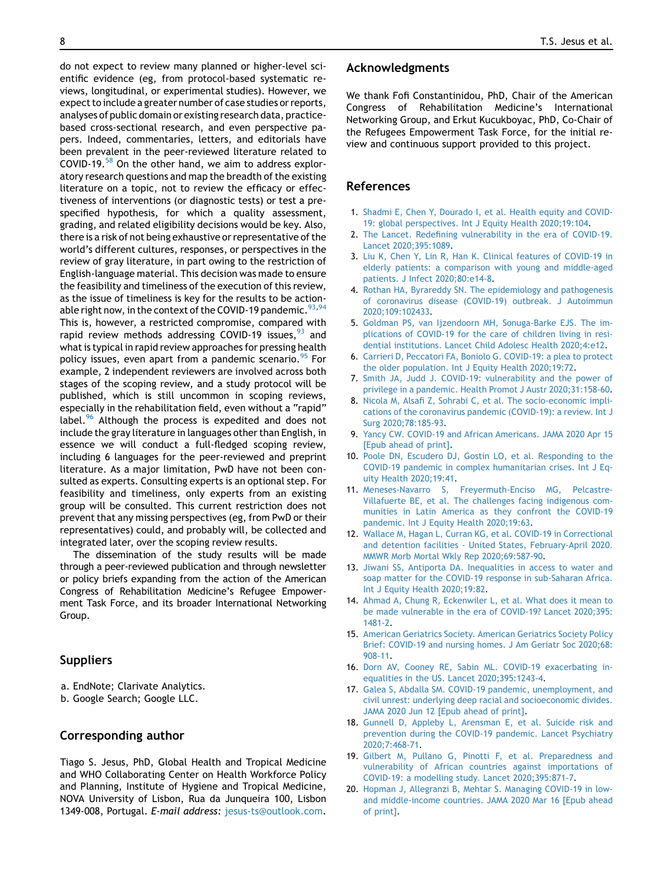do not expect to review many planned or higher-level scientific evidence (eg, from protocol-based systematic reviews, longitudinal, or experimental studies). However, we expect to include a greater number of case studies or reports, analyses of public domain or existing research data, practicebased cross-sectional research, and even perspective papers. Indeed, commentaries, letters, and editorials have been prevalent in the peer-reviewed literature related to COVID-19.[58](#page-8-21) On the other hand, we aim to address exploratory research questions and map the breadth of the existing literature on a topic, not to review the efficacy or effectiveness of interventions (or diagnostic tests) or test a prespecified hypothesis, for which a quality assessment, grading, and related eligibility decisions would be key. Also, there is a risk of not being exhaustive or representative of the world's different cultures, responses, or perspectives in the review of gray literature, in part owing to the restriction of English-language material. This decision was made to ensure the feasibility and timeliness of the execution of this review, as the issue of timeliness is key for the results to be actionable right now, in the context of the COVID-19 pandemic.  $93,94$  $93,94$ This is, however, a restricted compromise, compared with rapid review methods addressing COVID-19 issues,  $93$  and what is typical in rapid review approaches for pressing health policy issues, even apart from a pandemic scenario.<sup>[95](#page-9-15)</sup> For example, 2 independent reviewers are involved across both stages of the scoping review, and a study protocol will be published, which is still uncommon in scoping reviews, especially in the rehabilitation field, even without a "rapid" label.<sup>[96](#page-9-16)</sup> Although the process is expedited and does not include the gray literature in languages other than English, in essence we will conduct a full-fledged scoping review, including 6 languages for the peer-reviewed and preprint literature. As a major limitation, PwD have not been consulted as experts. Consulting experts is an optional step. For feasibility and timeliness, only experts from an existing group will be consulted. This current restriction does not prevent that any missing perspectives (eg, from PwD or their representatives) could, and probably will, be collected and integrated later, over the scoping review results.

The dissemination of the study results will be made through a peer-reviewed publication and through newsletter or policy briefs expanding from the action of the American Congress of Rehabilitation Medicine's Refugee Empowerment Task Force, and its broader International Networking Group.

# Suppliers

- a. EndNote; Clarivate Analytics.
- b. Google Search; Google LLC.

# Corresponding author

Tiago S. Jesus, PhD, Global Health and Tropical Medicine and WHO Collaborating Center on Health Workforce Policy and Planning, Institute of Hygiene and Tropical Medicine, NOVA University of Lisbon, Rua da Junqueira 100, Lisbon 1349-008, Portugal. E-mail address: [jesus-ts@outlook.com.](mailto:jesus-ts@outlook.com)

## Acknowledgments

We thank Fofi Constantinidou, PhD, Chair of the American Congress of Rehabilitation Medicine's International Networking Group, and Erkut Kucukboyac, PhD, Co-Chair of the Refugees Empowerment Task Force, for the initial review and continuous support provided to this project.

# <span id="page-7-0"></span>References

- <span id="page-7-1"></span>1. [Shadmi E, Chen Y, Dourado I, et al. Health equity and COVID-](http://refhub.elsevier.com/S2590-1095(20)30046-X/sref1)[19: global perspectives. Int J Equity Health 2020;19:104.](http://refhub.elsevier.com/S2590-1095(20)30046-X/sref1)
- <span id="page-7-2"></span>2. [The Lancet. Redefining vulnerability in the era of COVID-19.](http://refhub.elsevier.com/S2590-1095(20)30046-X/sref2) [Lancet 2020;395:1089.](http://refhub.elsevier.com/S2590-1095(20)30046-X/sref2)
- 3. [Liu K, Chen Y, Lin R, Han K. Clinical features of COVID-19 in](http://refhub.elsevier.com/S2590-1095(20)30046-X/sref3) [elderly patients: a comparison with young and middle-aged](http://refhub.elsevier.com/S2590-1095(20)30046-X/sref3) [patients. J Infect 2020;80:e14-8](http://refhub.elsevier.com/S2590-1095(20)30046-X/sref3).
- <span id="page-7-3"></span>4. [Rothan HA, Byrareddy SN. The epidemiology and pathogenesis](http://refhub.elsevier.com/S2590-1095(20)30046-X/sref4) [of coronavirus disease \(COVID-19\) outbreak. J Autoimmun](http://refhub.elsevier.com/S2590-1095(20)30046-X/sref4) [2020;109:102433](http://refhub.elsevier.com/S2590-1095(20)30046-X/sref4).
- 5. [Goldman PS, van Ijzendoorn MH, Sonuga-Barke EJS. The im](http://refhub.elsevier.com/S2590-1095(20)30046-X/sref5)[plications of COVID-19 for the care of children living in resi](http://refhub.elsevier.com/S2590-1095(20)30046-X/sref5)[dential institutions. Lancet Child Adolesc Health 2020;4:e12](http://refhub.elsevier.com/S2590-1095(20)30046-X/sref5).
- <span id="page-7-4"></span>6. [Carrieri D, Peccatori FA, Boniolo G. COVID-19: a plea to protect](http://refhub.elsevier.com/S2590-1095(20)30046-X/sref6) [the older population. Int J Equity Health 2020;19:72.](http://refhub.elsevier.com/S2590-1095(20)30046-X/sref6)
- <span id="page-7-6"></span>7. [Smith JA, Judd J. COVID-19: vulnerability and the power of](http://refhub.elsevier.com/S2590-1095(20)30046-X/sref7) [privilege in a pandemic. Health Promot J Austr 2020;31:158-60](http://refhub.elsevier.com/S2590-1095(20)30046-X/sref7).
- 8. [Nicola M, Alsafi Z, Sohrabi C, et al. The socio-economic impli](http://refhub.elsevier.com/S2590-1095(20)30046-X/sref8)[cations of the coronavirus pandemic \(COVID-19\): a review. Int J](http://refhub.elsevier.com/S2590-1095(20)30046-X/sref8) [Surg 2020;78:185-93.](http://refhub.elsevier.com/S2590-1095(20)30046-X/sref8)
- 9. [Yancy CW. COVID-19 and African Americans. JAMA 2020 Apr 15](http://refhub.elsevier.com/S2590-1095(20)30046-X/sref9) [\[Epub ahead of print\]](http://refhub.elsevier.com/S2590-1095(20)30046-X/sref9).
- 10. [Poole DN, Escudero DJ, Gostin LO, et al. Responding to the](http://refhub.elsevier.com/S2590-1095(20)30046-X/sref10) [COVID-19 pandemic in complex humanitarian crises. Int J Eq](http://refhub.elsevier.com/S2590-1095(20)30046-X/sref10)[uity Health 2020;19:41.](http://refhub.elsevier.com/S2590-1095(20)30046-X/sref10)
- 11. [Meneses-Navarro S, Freyermuth-Enciso MG, Pelcastre-](http://refhub.elsevier.com/S2590-1095(20)30046-X/sref11)[Villafuerte BE, et al. The challenges facing indigenous com](http://refhub.elsevier.com/S2590-1095(20)30046-X/sref11)[munities in Latin America as they confront the COVID-19](http://refhub.elsevier.com/S2590-1095(20)30046-X/sref11) [pandemic. Int J Equity Health 2020;19:63.](http://refhub.elsevier.com/S2590-1095(20)30046-X/sref11)
- 12. [Wallace M, Hagan L, Curran KG, et al. COVID-19 in Correctional](http://refhub.elsevier.com/S2590-1095(20)30046-X/sref12) [and detention facilities - United States, February-April 2020.](http://refhub.elsevier.com/S2590-1095(20)30046-X/sref12) [MMWR Morb Mortal Wkly Rep 2020;69:587-90.](http://refhub.elsevier.com/S2590-1095(20)30046-X/sref12)
- <span id="page-7-5"></span>13. [Jiwani SS, Antiporta DA. Inequalities in access to water and](http://refhub.elsevier.com/S2590-1095(20)30046-X/sref13) [soap matter for the COVID-19 response in sub-Saharan Africa.](http://refhub.elsevier.com/S2590-1095(20)30046-X/sref13) [Int J Equity Health 2020;19:82](http://refhub.elsevier.com/S2590-1095(20)30046-X/sref13).
- 14. [Ahmad A, Chung R, Eckenwiler L, et al. What does it mean to](http://refhub.elsevier.com/S2590-1095(20)30046-X/sref14) [be made vulnerable in the era of COVID-19? Lancet 2020;395:](http://refhub.elsevier.com/S2590-1095(20)30046-X/sref14) [1481-2.](http://refhub.elsevier.com/S2590-1095(20)30046-X/sref14)
- <span id="page-7-7"></span>15. [American Geriatrics Society. American Geriatrics Society Policy](http://refhub.elsevier.com/S2590-1095(20)30046-X/sref15) [Brief: COVID-19 and nursing homes. J Am Geriatr Soc 2020;68:](http://refhub.elsevier.com/S2590-1095(20)30046-X/sref15) [908-11.](http://refhub.elsevier.com/S2590-1095(20)30046-X/sref15)
- 16. [Dorn AV, Cooney RE, Sabin ML. COVID-19 exacerbating in](http://refhub.elsevier.com/S2590-1095(20)30046-X/sref16)[equalities in the US. Lancet 2020;395:1243-4](http://refhub.elsevier.com/S2590-1095(20)30046-X/sref16).
- 17. [Galea S, Abdalla SM. COVID-19 pandemic, unemployment, and](http://refhub.elsevier.com/S2590-1095(20)30046-X/sref17) [civil unrest: underlying deep racial and socioeconomic divides.](http://refhub.elsevier.com/S2590-1095(20)30046-X/sref17) [JAMA 2020 Jun 12 \[Epub ahead of print\].](http://refhub.elsevier.com/S2590-1095(20)30046-X/sref17)
- <span id="page-7-8"></span>18. [Gunnell D, Appleby L, Arensman E, et al. Suicide risk and](http://refhub.elsevier.com/S2590-1095(20)30046-X/sref18) [prevention during the COVID-19 pandemic. Lancet Psychiatry](http://refhub.elsevier.com/S2590-1095(20)30046-X/sref18) [2020;7:468-71](http://refhub.elsevier.com/S2590-1095(20)30046-X/sref18).
- 19. [Gilbert M, Pullano G, Pinotti F, et al. Preparedness and](http://refhub.elsevier.com/S2590-1095(20)30046-X/sref19) [vulnerability of African countries against importations of](http://refhub.elsevier.com/S2590-1095(20)30046-X/sref19) [COVID-19: a modelling study. Lancet 2020;395:871-7.](http://refhub.elsevier.com/S2590-1095(20)30046-X/sref19)
- 20. [Hopman J, Allegranzi B, Mehtar S. Managing COVID-19 in low](http://refhub.elsevier.com/S2590-1095(20)30046-X/sref20)[and middle-income countries. JAMA 2020 Mar 16 \[Epub ahead](http://refhub.elsevier.com/S2590-1095(20)30046-X/sref20) [of print\]](http://refhub.elsevier.com/S2590-1095(20)30046-X/sref20).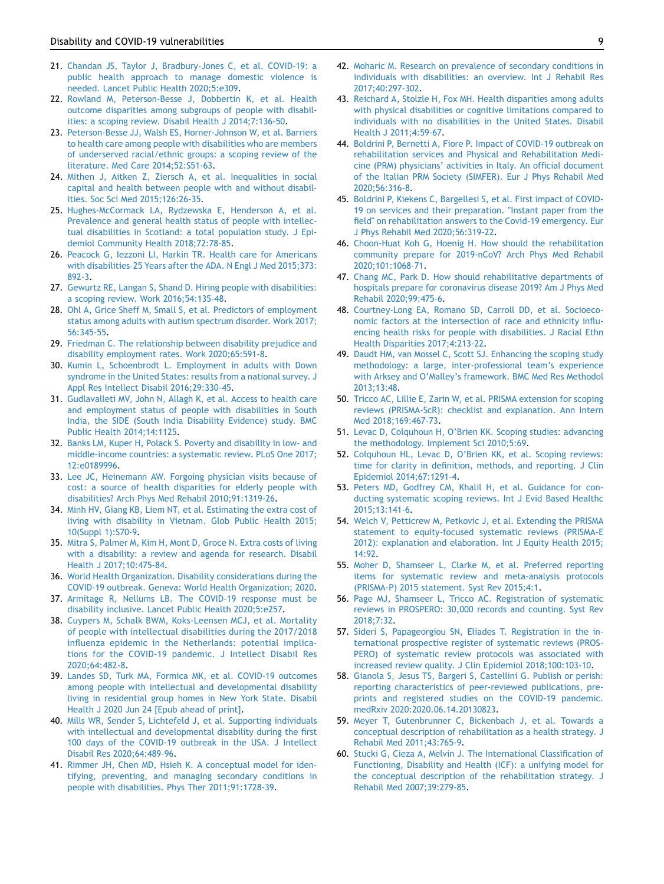- 21. [Chandan JS, Taylor J, Bradbury-Jones C, et al. COVID-19: a](http://refhub.elsevier.com/S2590-1095(20)30046-X/sref21) [public health approach to manage domestic violence is](http://refhub.elsevier.com/S2590-1095(20)30046-X/sref21) [needed. Lancet Public Health 2020;5:e309.](http://refhub.elsevier.com/S2590-1095(20)30046-X/sref21)
- <span id="page-8-0"></span>22. [Rowland M, Peterson-Besse J, Dobbertin K, et al. Health](http://refhub.elsevier.com/S2590-1095(20)30046-X/sref22) [outcome disparities among subgroups of people with disabil](http://refhub.elsevier.com/S2590-1095(20)30046-X/sref22)[ities: a scoping review. Disabil Health J 2014;7:136-50.](http://refhub.elsevier.com/S2590-1095(20)30046-X/sref22)
- <span id="page-8-11"></span>23. [Peterson-Besse JJ, Walsh ES, Horner-Johnson W, et al. Barriers](http://refhub.elsevier.com/S2590-1095(20)30046-X/sref23) [to health care among people with disabilities who are members](http://refhub.elsevier.com/S2590-1095(20)30046-X/sref23) [of underserved racial/ethnic groups: a scoping review of the](http://refhub.elsevier.com/S2590-1095(20)30046-X/sref23) [literature. Med Care 2014;52:S51-63.](http://refhub.elsevier.com/S2590-1095(20)30046-X/sref23)
- <span id="page-8-2"></span>24. [Mithen J, Aitken Z, Ziersch A, et al. Inequalities in social](http://refhub.elsevier.com/S2590-1095(20)30046-X/sref24) [capital and health between people with and without disabil](http://refhub.elsevier.com/S2590-1095(20)30046-X/sref24)[ities. Soc Sci Med 2015;126:26-35](http://refhub.elsevier.com/S2590-1095(20)30046-X/sref24).
- 25. [Hughes-McCormack LA, Rydzewska E, Henderson A, et al.](http://refhub.elsevier.com/S2590-1095(20)30046-X/sref25) [Prevalence and general health status of people with intellec](http://refhub.elsevier.com/S2590-1095(20)30046-X/sref25)[tual disabilities in Scotland: a total population study. J Epi](http://refhub.elsevier.com/S2590-1095(20)30046-X/sref25)[demiol Community Health 2018;72:78-85](http://refhub.elsevier.com/S2590-1095(20)30046-X/sref25).
- 26. [Peacock G, Iezzoni LI, Harkin TR. Health care for Americans](http://refhub.elsevier.com/S2590-1095(20)30046-X/sref26) [with disabilities–25 Years after the ADA. N Engl J Med 2015;373:](http://refhub.elsevier.com/S2590-1095(20)30046-X/sref26) [892-3.](http://refhub.elsevier.com/S2590-1095(20)30046-X/sref26)
- <span id="page-8-1"></span>27. [Gewurtz RE, Langan S, Shand D. Hiring people with disabilities:](http://refhub.elsevier.com/S2590-1095(20)30046-X/sref27) [a scoping review. Work 2016;54:135-48.](http://refhub.elsevier.com/S2590-1095(20)30046-X/sref27)
- 28. [Ohl A, Grice Sheff M, Small S, et al. Predictors of employment](http://refhub.elsevier.com/S2590-1095(20)30046-X/sref28) [status among adults with autism spectrum disorder. Work 2017;](http://refhub.elsevier.com/S2590-1095(20)30046-X/sref28) [56:345-55](http://refhub.elsevier.com/S2590-1095(20)30046-X/sref28).
- 29. [Friedman C. The relationship between disability prejudice and](http://refhub.elsevier.com/S2590-1095(20)30046-X/sref29) [disability employment rates. Work 2020;65:591-8](http://refhub.elsevier.com/S2590-1095(20)30046-X/sref29).
- 30. [Kumin L, Schoenbrodt L. Employment in adults with Down](http://refhub.elsevier.com/S2590-1095(20)30046-X/sref30) [syndrome in the United States: results from a national survey. J](http://refhub.elsevier.com/S2590-1095(20)30046-X/sref30) [Appl Res Intellect Disabil 2016;29:330-45](http://refhub.elsevier.com/S2590-1095(20)30046-X/sref30).
- <span id="page-8-8"></span>31. [Gudlavalleti MV, John N, Allagh K, et al. Access to health care](http://refhub.elsevier.com/S2590-1095(20)30046-X/sref31) [and employment status of people with disabilities in South](http://refhub.elsevier.com/S2590-1095(20)30046-X/sref31) [India, the SIDE \(South India Disability Evidence\) study. BMC](http://refhub.elsevier.com/S2590-1095(20)30046-X/sref31) [Public Health 2014;14:1125.](http://refhub.elsevier.com/S2590-1095(20)30046-X/sref31)
- <span id="page-8-3"></span>32. [Banks LM, Kuper H, Polack S. Poverty and disability in low- and](http://refhub.elsevier.com/S2590-1095(20)30046-X/sref32) [middle-income countries: a systematic review. PLoS One 2017;](http://refhub.elsevier.com/S2590-1095(20)30046-X/sref32) [12:e0189996](http://refhub.elsevier.com/S2590-1095(20)30046-X/sref32).
- 33. [Lee JC, Heinemann AW. Forgoing physician visits because of](http://refhub.elsevier.com/S2590-1095(20)30046-X/sref33) [cost: a source of health disparities for elderly people with](http://refhub.elsevier.com/S2590-1095(20)30046-X/sref33) [disabilities? Arch Phys Med Rehabil 2010;91:1319-26.](http://refhub.elsevier.com/S2590-1095(20)30046-X/sref33)
- 34. [Minh HV, Giang KB, Liem NT, et al. Estimating the extra cost of](http://refhub.elsevier.com/S2590-1095(20)30046-X/sref34) [living with disability in Vietnam. Glob Public Health 2015;](http://refhub.elsevier.com/S2590-1095(20)30046-X/sref34) [10\(Suppl 1\):S70-9.](http://refhub.elsevier.com/S2590-1095(20)30046-X/sref34)
- 35. [Mitra S, Palmer M, Kim H, Mont D, Groce N. Extra costs of living](http://refhub.elsevier.com/S2590-1095(20)30046-X/sref35) [with a disability: a review and agenda for research. Disabil](http://refhub.elsevier.com/S2590-1095(20)30046-X/sref35) [Health J 2017;10:475-84.](http://refhub.elsevier.com/S2590-1095(20)30046-X/sref35)
- <span id="page-8-4"></span>36. [World Health Organization. Disability considerations during the](http://refhub.elsevier.com/S2590-1095(20)30046-X/sref36) [COVID-19 outbreak. Geneva: World Health Organization; 2020.](http://refhub.elsevier.com/S2590-1095(20)30046-X/sref36)
- <span id="page-8-5"></span>37. [Armitage R, Nellums LB. The COVID-19 response must be](http://refhub.elsevier.com/S2590-1095(20)30046-X/sref37) [disability inclusive. Lancet Public Health 2020;5:e257](http://refhub.elsevier.com/S2590-1095(20)30046-X/sref37).
- 38. [Cuypers M, Schalk BWM, Koks-Leensen MCJ, et al. Mortality](http://refhub.elsevier.com/S2590-1095(20)30046-X/sref38) [of people with intellectual disabilities during the 2017/2018](http://refhub.elsevier.com/S2590-1095(20)30046-X/sref38) [influenza epidemic in the Netherlands: potential implica](http://refhub.elsevier.com/S2590-1095(20)30046-X/sref38)[tions for the COVID-19 pandemic. J Intellect Disabil Res](http://refhub.elsevier.com/S2590-1095(20)30046-X/sref38) [2020;64:482-8.](http://refhub.elsevier.com/S2590-1095(20)30046-X/sref38)
- <span id="page-8-6"></span>39. [Landes SD, Turk MA, Formica MK, et al. COVID-19 outcomes](http://refhub.elsevier.com/S2590-1095(20)30046-X/sref39) [among people with intellectual and developmental disability](http://refhub.elsevier.com/S2590-1095(20)30046-X/sref39) [living in residential group homes in New York State. Disabil](http://refhub.elsevier.com/S2590-1095(20)30046-X/sref39) [Health J 2020 Jun 24 \[Epub ahead of print\]](http://refhub.elsevier.com/S2590-1095(20)30046-X/sref39).
- <span id="page-8-7"></span>40. [Mills WR, Sender S, Lichtefeld J, et al. Supporting individuals](http://refhub.elsevier.com/S2590-1095(20)30046-X/sref40) [with intellectual and developmental disability during the first](http://refhub.elsevier.com/S2590-1095(20)30046-X/sref40) [100 days of the COVID-19 outbreak in the USA. J Intellect](http://refhub.elsevier.com/S2590-1095(20)30046-X/sref40) [Disabil Res 2020;64:489-96.](http://refhub.elsevier.com/S2590-1095(20)30046-X/sref40)
- <span id="page-8-9"></span>41. [Rimmer JH, Chen MD, Hsieh K. A conceptual model for iden](http://refhub.elsevier.com/S2590-1095(20)30046-X/sref41)[tifying, preventing, and managing secondary conditions in](http://refhub.elsevier.com/S2590-1095(20)30046-X/sref41) [people with disabilities. Phys Ther 2011;91:1728-39.](http://refhub.elsevier.com/S2590-1095(20)30046-X/sref41)
- 42. [Moharic M. Research on prevalence of secondary conditions in](http://refhub.elsevier.com/S2590-1095(20)30046-X/sref42) [individuals with disabilities: an overview. Int J Rehabil Res](http://refhub.elsevier.com/S2590-1095(20)30046-X/sref42) [2017;40:297-302.](http://refhub.elsevier.com/S2590-1095(20)30046-X/sref42)
- 43. [Reichard A, Stolzle H, Fox MH. Health disparities among adults](http://refhub.elsevier.com/S2590-1095(20)30046-X/sref43) [with physical disabilities or cognitive limitations compared to](http://refhub.elsevier.com/S2590-1095(20)30046-X/sref43) [individuals with no disabilities in the United States. Disabil](http://refhub.elsevier.com/S2590-1095(20)30046-X/sref43) [Health J 2011;4:59-67](http://refhub.elsevier.com/S2590-1095(20)30046-X/sref43).
- <span id="page-8-10"></span>44. [Boldrini P, Bernetti A, Fiore P. Impact of COVID-19 outbreak on](http://refhub.elsevier.com/S2590-1095(20)30046-X/sref44) [rehabilitation services and Physical and Rehabilitation Medi](http://refhub.elsevier.com/S2590-1095(20)30046-X/sref44)[cine \(PRM\) physicians' activities in Italy. An official document](http://refhub.elsevier.com/S2590-1095(20)30046-X/sref44) [of the Italian PRM Society \(SIMFER\). Eur J Phys Rehabil Med](http://refhub.elsevier.com/S2590-1095(20)30046-X/sref44) [2020;56:316-8.](http://refhub.elsevier.com/S2590-1095(20)30046-X/sref44)
- 45. [Boldrini P, Kiekens C, Bargellesi S, et al. First impact of COVID-](http://refhub.elsevier.com/S2590-1095(20)30046-X/sref45)[19 on services and their preparation. "Instant paper from the](http://refhub.elsevier.com/S2590-1095(20)30046-X/sref45) [field" on rehabilitation answers to the Covid-19 emergency. Eur](http://refhub.elsevier.com/S2590-1095(20)30046-X/sref45) [J Phys Rehabil Med 2020;56:319-22](http://refhub.elsevier.com/S2590-1095(20)30046-X/sref45).
- 46. [Choon-Huat Koh G, Hoenig H. How should the rehabilitation](http://refhub.elsevier.com/S2590-1095(20)30046-X/sref46) [community prepare for 2019-nCoV? Arch Phys Med Rehabil](http://refhub.elsevier.com/S2590-1095(20)30046-X/sref46) [2020;101:1068-71](http://refhub.elsevier.com/S2590-1095(20)30046-X/sref46).
- 47. [Chang MC, Park D. How should rehabilitative departments of](http://refhub.elsevier.com/S2590-1095(20)30046-X/sref47) [hospitals prepare for coronavirus disease 2019? Am J Phys Med](http://refhub.elsevier.com/S2590-1095(20)30046-X/sref47) [Rehabil 2020;99:475-6.](http://refhub.elsevier.com/S2590-1095(20)30046-X/sref47)
- <span id="page-8-12"></span>48. [Courtney-Long EA, Romano SD, Carroll DD, et al. Socioeco](http://refhub.elsevier.com/S2590-1095(20)30046-X/sref48)[nomic factors at the intersection of race and ethnicity influ](http://refhub.elsevier.com/S2590-1095(20)30046-X/sref48)[encing health risks for people with disabilities. J Racial Ethn](http://refhub.elsevier.com/S2590-1095(20)30046-X/sref48) [Health Disparities 2017;4:213-22.](http://refhub.elsevier.com/S2590-1095(20)30046-X/sref48)
- <span id="page-8-13"></span>49. [Daudt HM, van Mossel C, Scott SJ. Enhancing the scoping study](http://refhub.elsevier.com/S2590-1095(20)30046-X/sref49) [methodology: a large, inter-professional team's experience](http://refhub.elsevier.com/S2590-1095(20)30046-X/sref49) [with Arksey and O'Malley's framework. BMC Med Res Methodol](http://refhub.elsevier.com/S2590-1095(20)30046-X/sref49) [2013;13:48](http://refhub.elsevier.com/S2590-1095(20)30046-X/sref49).
- <span id="page-8-14"></span>50. [Tricco AC, Lillie E, Zarin W, et al. PRISMA extension for scoping](http://refhub.elsevier.com/S2590-1095(20)30046-X/sref50) [reviews \(PRISMA-ScR\): checklist and explanation. Ann Intern](http://refhub.elsevier.com/S2590-1095(20)30046-X/sref50) [Med 2018;169:467-73](http://refhub.elsevier.com/S2590-1095(20)30046-X/sref50).
- <span id="page-8-15"></span>51. [Levac D, Colquhoun H, O'Brien KK. Scoping studies: advancing](http://refhub.elsevier.com/S2590-1095(20)30046-X/sref51) [the methodology. Implement Sci 2010;5:69](http://refhub.elsevier.com/S2590-1095(20)30046-X/sref51).
- <span id="page-8-16"></span>52. [Colquhoun HL, Levac D, O'Brien KK, et al. Scoping reviews:](http://refhub.elsevier.com/S2590-1095(20)30046-X/sref52) [time for clarity in definition, methods, and reporting. J Clin](http://refhub.elsevier.com/S2590-1095(20)30046-X/sref52) [Epidemiol 2014;67:1291-4.](http://refhub.elsevier.com/S2590-1095(20)30046-X/sref52)
- <span id="page-8-17"></span>53. [Peters MD, Godfrey CM, Khalil H, et al. Guidance for con](http://refhub.elsevier.com/S2590-1095(20)30046-X/sref53)[ducting systematic scoping reviews. Int J Evid Based Healthc](http://refhub.elsevier.com/S2590-1095(20)30046-X/sref53) [2015;13:141-6.](http://refhub.elsevier.com/S2590-1095(20)30046-X/sref53)
- <span id="page-8-18"></span>54. [Welch V, Petticrew M, Petkovic J, et al. Extending the PRISMA](http://refhub.elsevier.com/S2590-1095(20)30046-X/sref54) [statement to equity-focused systematic reviews \(PRISMA-E](http://refhub.elsevier.com/S2590-1095(20)30046-X/sref54) [2012\): explanation and elaboration. Int J Equity Health 2015;](http://refhub.elsevier.com/S2590-1095(20)30046-X/sref54) [14:92.](http://refhub.elsevier.com/S2590-1095(20)30046-X/sref54)
- <span id="page-8-19"></span>55. [Moher D, Shamseer L, Clarke M, et al. Preferred reporting](http://refhub.elsevier.com/S2590-1095(20)30046-X/sref55) [items for systematic review and meta-analysis protocols](http://refhub.elsevier.com/S2590-1095(20)30046-X/sref55) [\(PRISMA-P\) 2015 statement. Syst Rev 2015;4:1](http://refhub.elsevier.com/S2590-1095(20)30046-X/sref55).
- <span id="page-8-20"></span>56. [Page MJ, Shamseer L, Tricco AC. Registration of systematic](http://refhub.elsevier.com/S2590-1095(20)30046-X/sref56) [reviews in PROSPERO: 30,000 records and counting. Syst Rev](http://refhub.elsevier.com/S2590-1095(20)30046-X/sref56) [2018;7:32](http://refhub.elsevier.com/S2590-1095(20)30046-X/sref56).
- 57. [Sideri S, Papageorgiou SN, Eliades T. Registration in the in](http://refhub.elsevier.com/S2590-1095(20)30046-X/sref57)[ternational prospective register of systematic reviews \(PROS-](http://refhub.elsevier.com/S2590-1095(20)30046-X/sref57)[PERO\) of systematic review protocols was associated with](http://refhub.elsevier.com/S2590-1095(20)30046-X/sref57) [increased review quality. J Clin Epidemiol 2018;100:103-10](http://refhub.elsevier.com/S2590-1095(20)30046-X/sref57).
- <span id="page-8-21"></span>58. [Gianola S, Jesus TS, Bargeri S, Castellini G. Publish or perish:](http://refhub.elsevier.com/S2590-1095(20)30046-X/sref58) [reporting characteristics of peer-reviewed publications, pre](http://refhub.elsevier.com/S2590-1095(20)30046-X/sref58)[prints and registered studies on the COVID-19 pandemic.](http://refhub.elsevier.com/S2590-1095(20)30046-X/sref58) [medRxiv 2020:2020.06.14.20130823.](http://refhub.elsevier.com/S2590-1095(20)30046-X/sref58)
- <span id="page-8-22"></span>59. [Meyer T, Gutenbrunner C, Bickenbach J, et al. Towards a](http://refhub.elsevier.com/S2590-1095(20)30046-X/sref59) [conceptual description of rehabilitation as a health strategy. J](http://refhub.elsevier.com/S2590-1095(20)30046-X/sref59) [Rehabil Med 2011;43:765-9](http://refhub.elsevier.com/S2590-1095(20)30046-X/sref59).
- 60. [Stucki G, Cieza A, Melvin J. The International Classification of](http://refhub.elsevier.com/S2590-1095(20)30046-X/sref60) [Functioning, Disability and Health \(ICF\): a unifying model for](http://refhub.elsevier.com/S2590-1095(20)30046-X/sref60) [the conceptual description of the rehabilitation strategy. J](http://refhub.elsevier.com/S2590-1095(20)30046-X/sref60) [Rehabil Med 2007;39:279-85](http://refhub.elsevier.com/S2590-1095(20)30046-X/sref60).